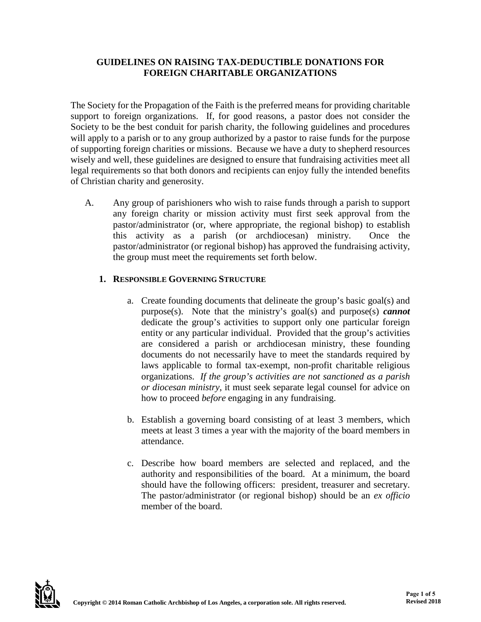#### **GUIDELINES ON RAISING TAX-DEDUCTIBLE DONATIONS FOR FOREIGN CHARITABLE ORGANIZATIONS**

The Society for the Propagation of the Faith is the preferred means for providing charitable support to foreign organizations. If, for good reasons, a pastor does not consider the Society to be the best conduit for parish charity, the following guidelines and procedures will apply to a parish or to any group authorized by a pastor to raise funds for the purpose of supporting foreign charities or missions. Because we have a duty to shepherd resources wisely and well, these guidelines are designed to ensure that fundraising activities meet all legal requirements so that both donors and recipients can enjoy fully the intended benefits of Christian charity and generosity.

A. Any group of parishioners who wish to raise funds through a parish to support any foreign charity or mission activity must first seek approval from the pastor/administrator (or, where appropriate, the regional bishop) to establish this activity as a parish (or archdiocesan) ministry. Once the pastor/administrator (or regional bishop) has approved the fundraising activity, the group must meet the requirements set forth below.

# **1. RESPONSIBLE GOVERNING STRUCTURE**

- a. Create founding documents that delineate the group's basic goal(s) and purpose(s). Note that the ministry's goal(s) and purpose(s) *cannot* dedicate the group's activities to support only one particular foreign entity or any particular individual. Provided that the group's activities are considered a parish or archdiocesan ministry, these founding documents do not necessarily have to meet the standards required by laws applicable to formal tax-exempt, non-profit charitable religious organizations. *If the group's activities are not sanctioned as a parish or diocesan ministry*, it must seek separate legal counsel for advice on how to proceed *before* engaging in any fundraising.
- b. Establish a governing board consisting of at least 3 members, which meets at least 3 times a year with the majority of the board members in attendance.
- c. Describe how board members are selected and replaced, and the authority and responsibilities of the board. At a minimum, the board should have the following officers: president, treasurer and secretary. The pastor/administrator (or regional bishop) should be an *ex officio* member of the board.

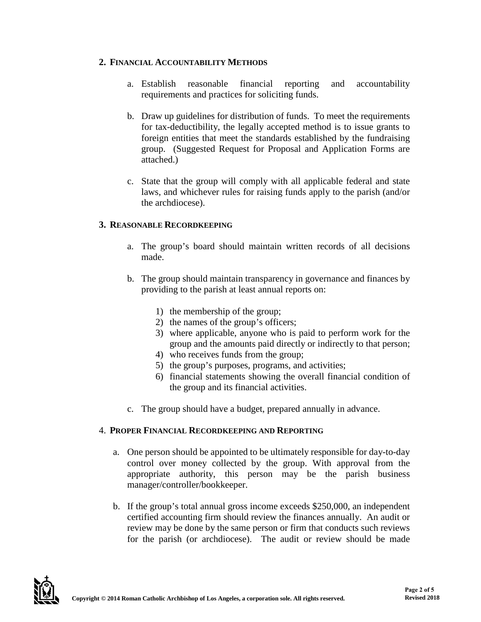#### **2. FINANCIAL ACCOUNTABILITY METHODS**

- a. Establish reasonable financial reporting and accountability requirements and practices for soliciting funds.
- b. Draw up guidelines for distribution of funds. To meet the requirements for tax-deductibility, the legally accepted method is to issue grants to foreign entities that meet the standards established by the fundraising group. (Suggested Request for Proposal and Application Forms are attached.)
- c. State that the group will comply with all applicable federal and state laws, and whichever rules for raising funds apply to the parish (and/or the archdiocese).

# **3. REASONABLE RECORDKEEPING**

- a. The group's board should maintain written records of all decisions made.
- b. The group should maintain transparency in governance and finances by providing to the parish at least annual reports on:
	- 1) the membership of the group;
	- 2) the names of the group's officers;
	- 3) where applicable, anyone who is paid to perform work for the group and the amounts paid directly or indirectly to that person;
	- 4) who receives funds from the group;
	- 5) the group's purposes, programs, and activities;
	- 6) financial statements showing the overall financial condition of the group and its financial activities.
- c. The group should have a budget, prepared annually in advance.

#### 4. **PROPER FINANCIAL RECORDKEEPING AND REPORTING**

- a. One person should be appointed to be ultimately responsible for day-to-day control over money collected by the group. With approval from the appropriate authority, this person may be the parish business manager/controller/bookkeeper.
- b. If the group's total annual gross income exceeds \$250,000, an independent certified accounting firm should review the finances annually. An audit or review may be done by the same person or firm that conducts such reviews for the parish (or archdiocese). The audit or review should be made

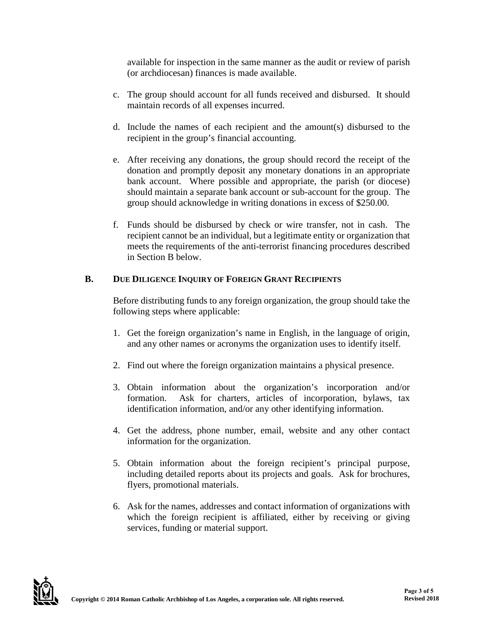available for inspection in the same manner as the audit or review of parish (or archdiocesan) finances is made available.

- c. The group should account for all funds received and disbursed. It should maintain records of all expenses incurred.
- d. Include the names of each recipient and the amount(s) disbursed to the recipient in the group's financial accounting.
- e. After receiving any donations, the group should record the receipt of the donation and promptly deposit any monetary donations in an appropriate bank account. Where possible and appropriate, the parish (or diocese) should maintain a separate bank account or sub-account for the group. The group should acknowledge in writing donations in excess of \$250.00.
- f. Funds should be disbursed by check or wire transfer, not in cash. The recipient cannot be an individual, but a legitimate entity or organization that meets the requirements of the anti-terrorist financing procedures described in Section B below.

# **B. DUE DILIGENCE INQUIRY OF FOREIGN GRANT RECIPIENTS**

Before distributing funds to any foreign organization, the group should take the following steps where applicable:

- 1. Get the foreign organization's name in English, in the language of origin, and any other names or acronyms the organization uses to identify itself.
- 2. Find out where the foreign organization maintains a physical presence.
- 3. Obtain information about the organization's incorporation and/or formation. Ask for charters, articles of incorporation, bylaws, tax identification information, and/or any other identifying information.
- 4. Get the address, phone number, email, website and any other contact information for the organization.
- 5. Obtain information about the foreign recipient's principal purpose, including detailed reports about its projects and goals. Ask for brochures, flyers, promotional materials.
- 6. Ask for the names, addresses and contact information of organizations with which the foreign recipient is affiliated, either by receiving or giving services, funding or material support.

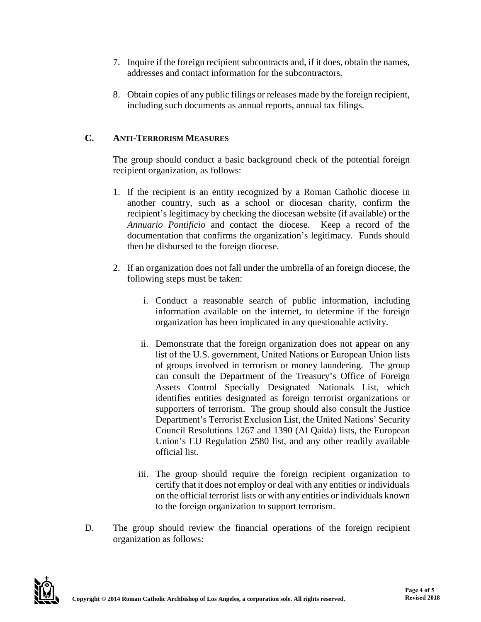- 7. Inquire if the foreign recipient subcontracts and, if it does, obtain the names, addresses and contact information for the subcontractors.
- 8. Obtain copies of any public filings or releases made by the foreign recipient, including such documents as annual reports, annual tax filings.

# **C. ANTI-TERRORISM MEASURES**

The group should conduct a basic background check of the potential foreign recipient organization, as follows:

- 1. If the recipient is an entity recognized by a Roman Catholic diocese in another country, such as a school or diocesan charity, confirm the recipient's legitimacy by checking the diocesan website (if available) or the *Annuario Pontificio* and contact the diocese. Keep a record of the documentation that confirms the organization's legitimacy. Funds should then be disbursed to the foreign diocese.
- 2. If an organization does not fall under the umbrella of an foreign diocese, the following steps must be taken:
	- i. Conduct a reasonable search of public information, including information available on the internet, to determine if the foreign organization has been implicated in any questionable activity.
	- ii. Demonstrate that the foreign organization does not appear on any list of the U.S. government, United Nations or European Union lists of groups involved in terrorism or money laundering. The group can consult the Department of the Treasury's Office of Foreign Assets Control Specially Designated Nationals List, which identifies entities designated as foreign terrorist organizations or supporters of terrorism. The group should also consult the Justice Department's Terrorist Exclusion List, the United Nations' Security Council Resolutions 1267 and 1390 (Al Qaida) lists, the European Union's EU Regulation 2580 list, and any other readily available official list.
	- iii. The group should require the foreign recipient organization to certify that it does not employ or deal with any entities or individuals on the official terrorist lists or with any entities or individuals known to the foreign organization to support terrorism.
- D. The group should review the financial operations of the foreign recipient organization as follows: